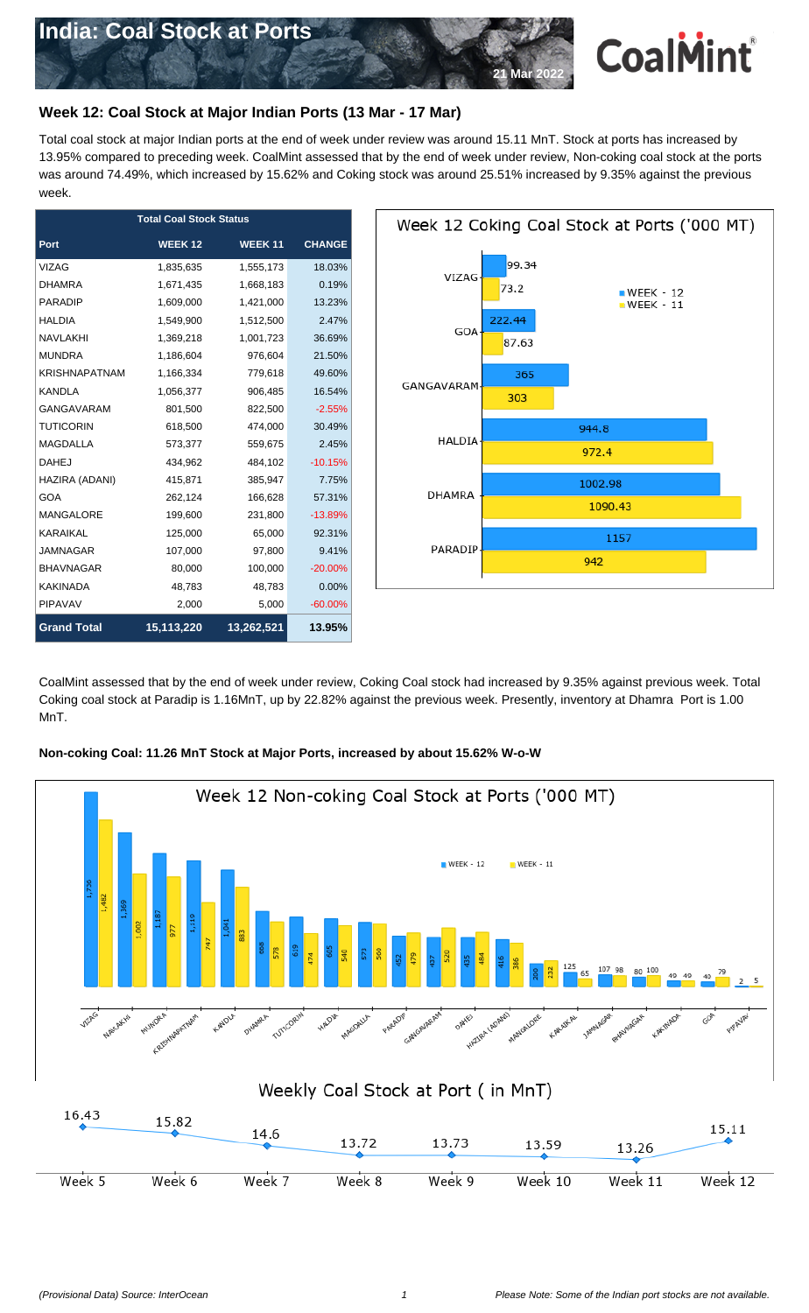

## **Week 12: Coal Stock at Major Indian Ports (13 Mar - 17 Mar)**

Total coal stock at major Indian ports at the end of week under review was around 15.11 MnT. Stock at ports has increased by 13.95% compared to preceding week. CoalMint assessed that by the end of week under review, Non-coking coal stock at the ports was around 74.49%, which increased by 15.62% and Coking stock was around 25.51% increased by 9.35% against the previous week.

| <b>Total Coal Stock Status</b> |               |               |               |  |  |
|--------------------------------|---------------|---------------|---------------|--|--|
| Port                           | <b>WEEK12</b> | <b>WEEK11</b> | <b>CHANGE</b> |  |  |
| <b>VIZAG</b>                   | 1,835,635     | 1,555,173     | 18.03%        |  |  |
| <b>DHAMRA</b>                  | 1,671,435     | 1,668,183     | 0.19%         |  |  |
| <b>PARADIP</b>                 | 1,609,000     | 1,421,000     | 13.23%        |  |  |
| <b>HALDIA</b>                  | 1,549,900     | 1,512,500     | 2.47%         |  |  |
| <b>NAVLAKHI</b>                | 1,369,218     | 1,001,723     | 36.69%        |  |  |
| <b>MUNDRA</b>                  | 1,186,604     | 976,604       | 21.50%        |  |  |
| <b>KRISHNAPATNAM</b>           | 1,166,334     | 779,618       | 49.60%        |  |  |
| <b>KANDLA</b>                  | 1,056,377     | 906,485       | 16.54%        |  |  |
| <b>GANGAVARAM</b>              | 801,500       | 822,500       | $-2.55%$      |  |  |
| <b>TUTICORIN</b>               | 618,500       | 474,000       | 30.49%        |  |  |
| <b>MAGDALLA</b>                | 573,377       | 559,675       | 2.45%         |  |  |
| <b>DAHEJ</b>                   | 434,962       | 484,102       | $-10.15%$     |  |  |
| HAZIRA (ADANI)                 | 415,871       | 385,947       | 7.75%         |  |  |
| <b>GOA</b>                     | 262,124       | 166,628       | 57.31%        |  |  |
| <b>MANGALORE</b>               | 199,600       | 231,800       | $-13.89%$     |  |  |
| <b>KARAIKAL</b>                | 125,000       | 65,000        | 92.31%        |  |  |
| <b>JAMNAGAR</b>                | 107,000       | 97,800        | 9.41%         |  |  |
| <b>BHAVNAGAR</b>               | 80,000        | 100,000       | $-20.00%$     |  |  |
| <b>KAKINADA</b>                | 48,783        | 48,783        | 0.00%         |  |  |
| <b>PIPAVAV</b>                 | 2,000         | 5,000         | $-60.00\%$    |  |  |
| <b>Grand Total</b>             | 15,113,220    | 13,262,521    | 13.95%        |  |  |



CoalMint assessed that by the end of week under review, Coking Coal stock had increased by 9.35% against previous week. Total Coking coal stock at Paradip is 1.16MnT, up by 22.82% against the previous week. Presently, inventory at Dhamra Port is 1.00 MnT.

## **Non-coking Coal: 11.26 MnT Stock at Major Ports, increased by about 15.62% W-o-W**